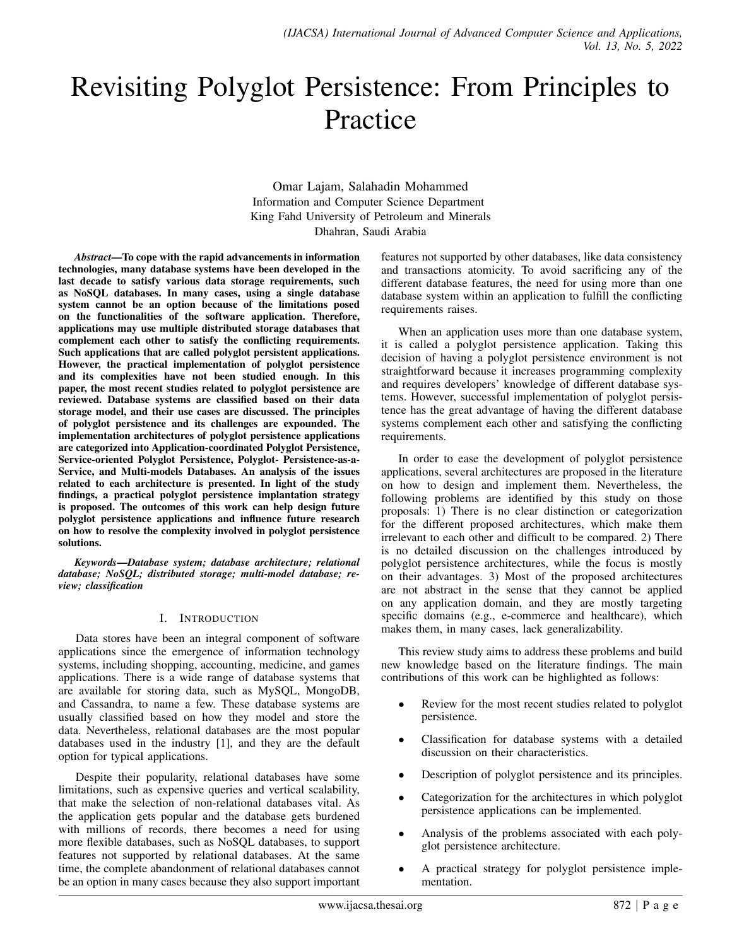# Revisiting Polyglot Persistence: From Principles to Practice

Omar Lajam, Salahadin Mohammed Information and Computer Science Department King Fahd University of Petroleum and Minerals Dhahran, Saudi Arabia

*Abstract*—To cope with the rapid advancements in information technologies, many database systems have been developed in the last decade to satisfy various data storage requirements, such as NoSQL databases. In many cases, using a single database system cannot be an option because of the limitations posed on the functionalities of the software application. Therefore, applications may use multiple distributed storage databases that complement each other to satisfy the conflicting requirements. Such applications that are called polyglot persistent applications. However, the practical implementation of polyglot persistence and its complexities have not been studied enough. In this paper, the most recent studies related to polyglot persistence are reviewed. Database systems are classified based on their data storage model, and their use cases are discussed. The principles of polyglot persistence and its challenges are expounded. The implementation architectures of polyglot persistence applications are categorized into Application-coordinated Polyglot Persistence, Service-oriented Polyglot Persistence, Polyglot- Persistence-as-a-Service, and Multi-models Databases. An analysis of the issues related to each architecture is presented. In light of the study findings, a practical polyglot persistence implantation strategy is proposed. The outcomes of this work can help design future polyglot persistence applications and influence future research on how to resolve the complexity involved in polyglot persistence solutions.

*Keywords*—*Database system; database architecture; relational database; NoSQL; distributed storage; multi-model database; review; classification*

#### I. INTRODUCTION

Data stores have been an integral component of software applications since the emergence of information technology systems, including shopping, accounting, medicine, and games applications. There is a wide range of database systems that are available for storing data, such as MySQL, MongoDB, and Cassandra, to name a few. These database systems are usually classified based on how they model and store the data. Nevertheless, relational databases are the most popular databases used in the industry [1], and they are the default option for typical applications.

Despite their popularity, relational databases have some limitations, such as expensive queries and vertical scalability, that make the selection of non-relational databases vital. As the application gets popular and the database gets burdened with millions of records, there becomes a need for using more flexible databases, such as NoSQL databases, to support features not supported by relational databases. At the same time, the complete abandonment of relational databases cannot be an option in many cases because they also support important features not supported by other databases, like data consistency and transactions atomicity. To avoid sacrificing any of the different database features, the need for using more than one database system within an application to fulfill the conflicting requirements raises.

When an application uses more than one database system, it is called a polyglot persistence application. Taking this decision of having a polyglot persistence environment is not straightforward because it increases programming complexity and requires developers' knowledge of different database systems. However, successful implementation of polyglot persistence has the great advantage of having the different database systems complement each other and satisfying the conflicting requirements.

In order to ease the development of polyglot persistence applications, several architectures are proposed in the literature on how to design and implement them. Nevertheless, the following problems are identified by this study on those proposals: 1) There is no clear distinction or categorization for the different proposed architectures, which make them irrelevant to each other and difficult to be compared. 2) There is no detailed discussion on the challenges introduced by polyglot persistence architectures, while the focus is mostly on their advantages. 3) Most of the proposed architectures are not abstract in the sense that they cannot be applied on any application domain, and they are mostly targeting specific domains (e.g., e-commerce and healthcare), which makes them, in many cases, lack generalizability.

This review study aims to address these problems and build new knowledge based on the literature findings. The main contributions of this work can be highlighted as follows:

- Review for the most recent studies related to polyglot persistence.
- Classification for database systems with a detailed discussion on their characteristics.
- Description of polyglot persistence and its principles.
- Categorization for the architectures in which polyglot persistence applications can be implemented.
- Analysis of the problems associated with each polyglot persistence architecture.
- A practical strategy for polyglot persistence implementation.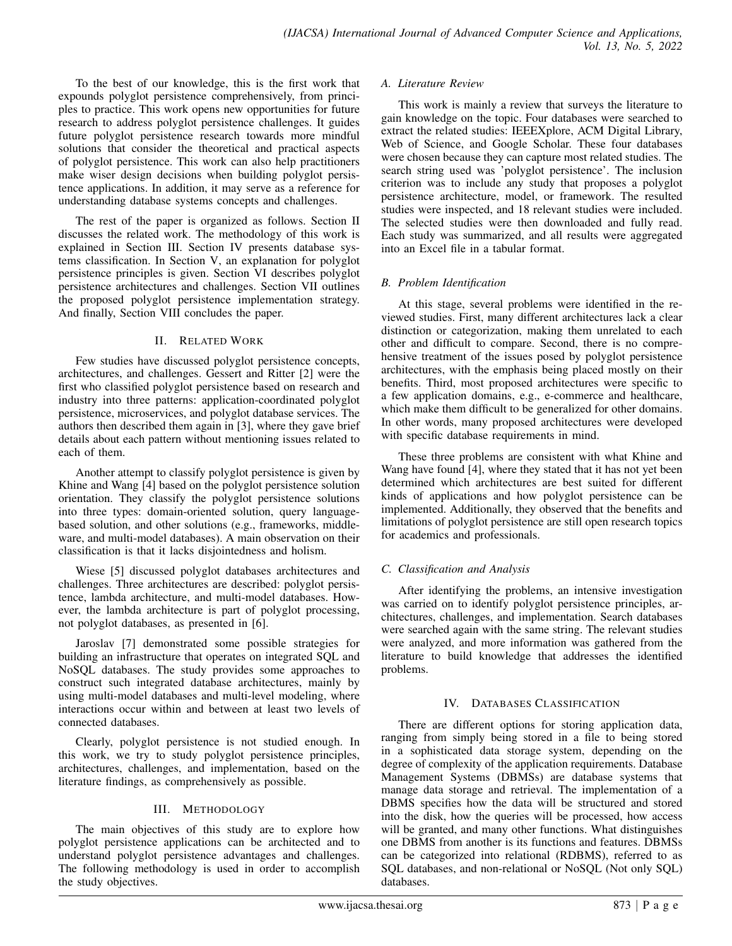To the best of our knowledge, this is the first work that expounds polyglot persistence comprehensively, from principles to practice. This work opens new opportunities for future research to address polyglot persistence challenges. It guides future polyglot persistence research towards more mindful solutions that consider the theoretical and practical aspects of polyglot persistence. This work can also help practitioners make wiser design decisions when building polyglot persistence applications. In addition, it may serve as a reference for understanding database systems concepts and challenges.

The rest of the paper is organized as follows. Section II discusses the related work. The methodology of this work is explained in Section III. Section IV presents database systems classification. In Section V, an explanation for polyglot persistence principles is given. Section VI describes polyglot persistence architectures and challenges. Section VII outlines the proposed polyglot persistence implementation strategy. And finally, Section VIII concludes the paper.

#### II. RELATED WORK

Few studies have discussed polyglot persistence concepts, architectures, and challenges. Gessert and Ritter [2] were the first who classified polyglot persistence based on research and industry into three patterns: application-coordinated polyglot persistence, microservices, and polyglot database services. The authors then described them again in [3], where they gave brief details about each pattern without mentioning issues related to each of them.

Another attempt to classify polyglot persistence is given by Khine and Wang [4] based on the polyglot persistence solution orientation. They classify the polyglot persistence solutions into three types: domain-oriented solution, query languagebased solution, and other solutions (e.g., frameworks, middleware, and multi-model databases). A main observation on their classification is that it lacks disjointedness and holism.

Wiese [5] discussed polyglot databases architectures and challenges. Three architectures are described: polyglot persistence, lambda architecture, and multi-model databases. However, the lambda architecture is part of polyglot processing, not polyglot databases, as presented in [6].

Jaroslav [7] demonstrated some possible strategies for building an infrastructure that operates on integrated SQL and NoSQL databases. The study provides some approaches to construct such integrated database architectures, mainly by using multi-model databases and multi-level modeling, where interactions occur within and between at least two levels of connected databases.

Clearly, polyglot persistence is not studied enough. In this work, we try to study polyglot persistence principles, architectures, challenges, and implementation, based on the literature findings, as comprehensively as possible.

## III. METHODOLOGY

The main objectives of this study are to explore how polyglot persistence applications can be architected and to understand polyglot persistence advantages and challenges. The following methodology is used in order to accomplish the study objectives.

#### *A. Literature Review*

This work is mainly a review that surveys the literature to gain knowledge on the topic. Four databases were searched to extract the related studies: IEEEXplore, ACM Digital Library, Web of Science, and Google Scholar. These four databases were chosen because they can capture most related studies. The search string used was 'polyglot persistence'. The inclusion criterion was to include any study that proposes a polyglot persistence architecture, model, or framework. The resulted studies were inspected, and 18 relevant studies were included. The selected studies were then downloaded and fully read. Each study was summarized, and all results were aggregated into an Excel file in a tabular format.

# *B. Problem Identification*

At this stage, several problems were identified in the reviewed studies. First, many different architectures lack a clear distinction or categorization, making them unrelated to each other and difficult to compare. Second, there is no comprehensive treatment of the issues posed by polyglot persistence architectures, with the emphasis being placed mostly on their benefits. Third, most proposed architectures were specific to a few application domains, e.g., e-commerce and healthcare, which make them difficult to be generalized for other domains. In other words, many proposed architectures were developed with specific database requirements in mind.

These three problems are consistent with what Khine and Wang have found [4], where they stated that it has not yet been determined which architectures are best suited for different kinds of applications and how polyglot persistence can be implemented. Additionally, they observed that the benefits and limitations of polyglot persistence are still open research topics for academics and professionals.

## *C. Classification and Analysis*

After identifying the problems, an intensive investigation was carried on to identify polyglot persistence principles, architectures, challenges, and implementation. Search databases were searched again with the same string. The relevant studies were analyzed, and more information was gathered from the literature to build knowledge that addresses the identified problems.

## IV. DATABASES CLASSIFICATION

There are different options for storing application data, ranging from simply being stored in a file to being stored in a sophisticated data storage system, depending on the degree of complexity of the application requirements. Database Management Systems (DBMSs) are database systems that manage data storage and retrieval. The implementation of a DBMS specifies how the data will be structured and stored into the disk, how the queries will be processed, how access will be granted, and many other functions. What distinguishes one DBMS from another is its functions and features. DBMSs can be categorized into relational (RDBMS), referred to as SQL databases, and non-relational or NoSQL (Not only SQL) databases.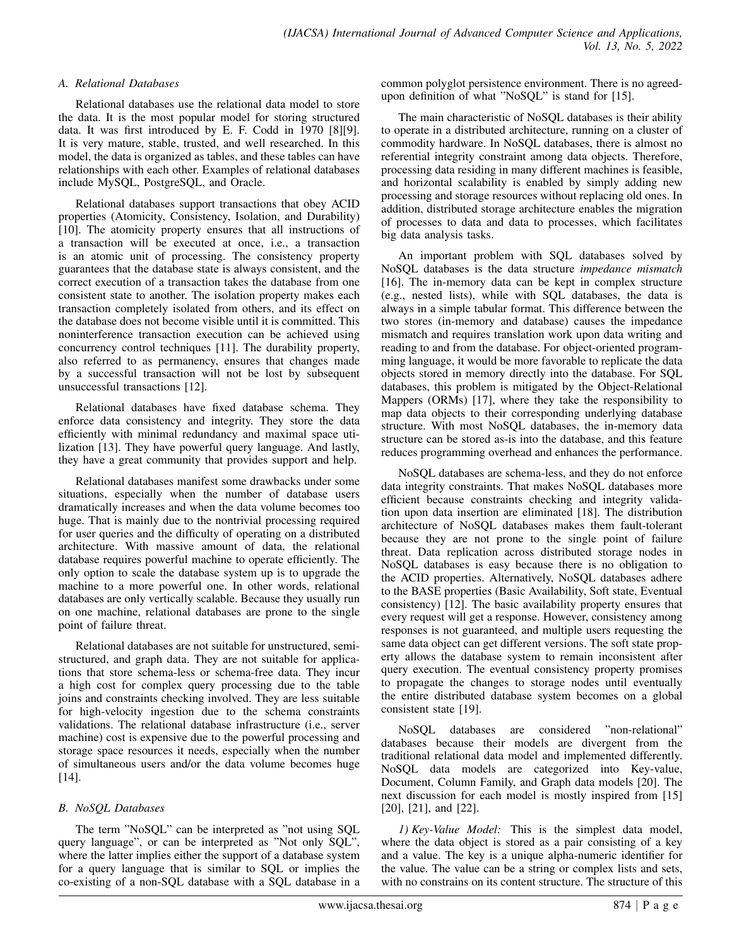#### *A. Relational Databases*

Relational databases use the relational data model to store the data. It is the most popular model for storing structured data. It was first introduced by E. F. Codd in 1970 [8][9]. It is very mature, stable, trusted, and well researched. In this model, the data is organized as tables, and these tables can have relationships with each other. Examples of relational databases include MySQL, PostgreSQL, and Oracle.

Relational databases support transactions that obey ACID properties (Atomicity, Consistency, Isolation, and Durability) [10]. The atomicity property ensures that all instructions of a transaction will be executed at once, i.e., a transaction is an atomic unit of processing. The consistency property guarantees that the database state is always consistent, and the correct execution of a transaction takes the database from one consistent state to another. The isolation property makes each transaction completely isolated from others, and its effect on the database does not become visible until it is committed. This noninterference transaction execution can be achieved using concurrency control techniques [11]. The durability property, also referred to as permanency, ensures that changes made by a successful transaction will not be lost by subsequent unsuccessful transactions [12].

Relational databases have fixed database schema. They enforce data consistency and integrity. They store the data efficiently with minimal redundancy and maximal space utilization [13]. They have powerful query language. And lastly, they have a great community that provides support and help.

Relational databases manifest some drawbacks under some situations, especially when the number of database users dramatically increases and when the data volume becomes too huge. That is mainly due to the nontrivial processing required for user queries and the difficulty of operating on a distributed architecture. With massive amount of data, the relational database requires powerful machine to operate efficiently. The only option to scale the database system up is to upgrade the machine to a more powerful one. In other words, relational databases are only vertically scalable. Because they usually run on one machine, relational databases are prone to the single point of failure threat.

Relational databases are not suitable for unstructured, semistructured, and graph data. They are not suitable for applications that store schema-less or schema-free data. They incur a high cost for complex query processing due to the table joins and constraints checking involved. They are less suitable for high-velocity ingestion due to the schema constraints validations. The relational database infrastructure (i.e., server machine) cost is expensive due to the powerful processing and storage space resources it needs, especially when the number of simultaneous users and/or the data volume becomes huge [14].

# *B. NoSQL Databases*

The term "NoSQL" can be interpreted as "not using SQL query language", or can be interpreted as "Not only SQL", where the latter implies either the support of a database system for a query language that is similar to SQL or implies the co-existing of a non-SQL database with a SQL database in a common polyglot persistence environment. There is no agreedupon definition of what "NoSQL" is stand for [15].

The main characteristic of NoSQL databases is their ability to operate in a distributed architecture, running on a cluster of commodity hardware. In NoSQL databases, there is almost no referential integrity constraint among data objects. Therefore, processing data residing in many different machines is feasible, and horizontal scalability is enabled by simply adding new processing and storage resources without replacing old ones. In addition, distributed storage architecture enables the migration of processes to data and data to processes, which facilitates big data analysis tasks.

An important problem with SQL databases solved by NoSQL databases is the data structure *impedance mismatch* [16]. The in-memory data can be kept in complex structure (e.g., nested lists), while with SQL databases, the data is always in a simple tabular format. This difference between the two stores (in-memory and database) causes the impedance mismatch and requires translation work upon data writing and reading to and from the database. For object-oriented programming language, it would be more favorable to replicate the data objects stored in memory directly into the database. For SQL databases, this problem is mitigated by the Object-Relational Mappers (ORMs) [17], where they take the responsibility to map data objects to their corresponding underlying database structure. With most NoSQL databases, the in-memory data structure can be stored as-is into the database, and this feature reduces programming overhead and enhances the performance.

NoSQL databases are schema-less, and they do not enforce data integrity constraints. That makes NoSQL databases more efficient because constraints checking and integrity validation upon data insertion are eliminated [18]. The distribution architecture of NoSQL databases makes them fault-tolerant because they are not prone to the single point of failure threat. Data replication across distributed storage nodes in NoSQL databases is easy because there is no obligation to the ACID properties. Alternatively, NoSQL databases adhere to the BASE properties (Basic Availability, Soft state, Eventual consistency) [12]. The basic availability property ensures that every request will get a response. However, consistency among responses is not guaranteed, and multiple users requesting the same data object can get different versions. The soft state property allows the database system to remain inconsistent after query execution. The eventual consistency property promises to propagate the changes to storage nodes until eventually the entire distributed database system becomes on a global consistent state [19].

NoSQL databases are considered "non-relational" databases because their models are divergent from the traditional relational data model and implemented differently. NoSQL data models are categorized into Key-value, Document, Column Family, and Graph data models [20]. The next discussion for each model is mostly inspired from [15] [20], [21], and [22].

*1) Key-Value Model:* This is the simplest data model, where the data object is stored as a pair consisting of a key and a value. The key is a unique alpha-numeric identifier for the value. The value can be a string or complex lists and sets, with no constrains on its content structure. The structure of this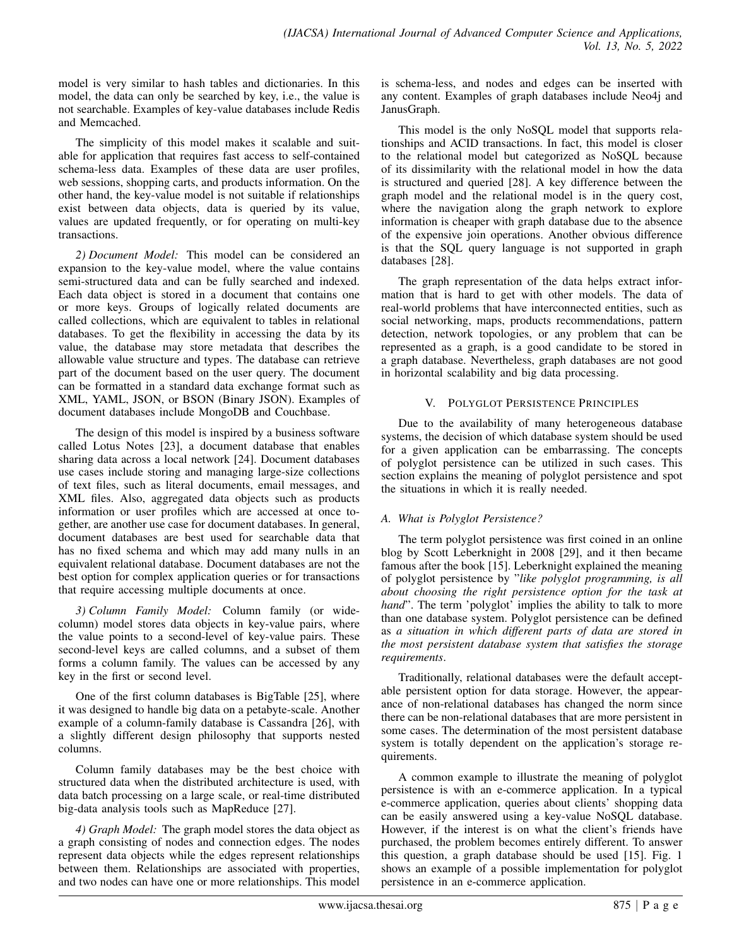model is very similar to hash tables and dictionaries. In this model, the data can only be searched by key, i.e., the value is not searchable. Examples of key-value databases include Redis and Memcached.

The simplicity of this model makes it scalable and suitable for application that requires fast access to self-contained schema-less data. Examples of these data are user profiles, web sessions, shopping carts, and products information. On the other hand, the key-value model is not suitable if relationships exist between data objects, data is queried by its value, values are updated frequently, or for operating on multi-key transactions.

*2) Document Model:* This model can be considered an expansion to the key-value model, where the value contains semi-structured data and can be fully searched and indexed. Each data object is stored in a document that contains one or more keys. Groups of logically related documents are called collections, which are equivalent to tables in relational databases. To get the flexibility in accessing the data by its value, the database may store metadata that describes the allowable value structure and types. The database can retrieve part of the document based on the user query. The document can be formatted in a standard data exchange format such as XML, YAML, JSON, or BSON (Binary JSON). Examples of document databases include MongoDB and Couchbase.

The design of this model is inspired by a business software called Lotus Notes [23], a document database that enables sharing data across a local network [24]. Document databases use cases include storing and managing large-size collections of text files, such as literal documents, email messages, and XML files. Also, aggregated data objects such as products information or user profiles which are accessed at once together, are another use case for document databases. In general, document databases are best used for searchable data that has no fixed schema and which may add many nulls in an equivalent relational database. Document databases are not the best option for complex application queries or for transactions that require accessing multiple documents at once.

*3) Column Family Model:* Column family (or widecolumn) model stores data objects in key-value pairs, where the value points to a second-level of key-value pairs. These second-level keys are called columns, and a subset of them forms a column family. The values can be accessed by any key in the first or second level.

One of the first column databases is BigTable [25], where it was designed to handle big data on a petabyte-scale. Another example of a column-family database is Cassandra [26], with a slightly different design philosophy that supports nested columns.

Column family databases may be the best choice with structured data when the distributed architecture is used, with data batch processing on a large scale, or real-time distributed big-data analysis tools such as MapReduce [27].

*4) Graph Model:* The graph model stores the data object as a graph consisting of nodes and connection edges. The nodes represent data objects while the edges represent relationships between them. Relationships are associated with properties, and two nodes can have one or more relationships. This model

is schema-less, and nodes and edges can be inserted with any content. Examples of graph databases include Neo4j and JanusGraph.

This model is the only NoSQL model that supports relationships and ACID transactions. In fact, this model is closer to the relational model but categorized as NoSQL because of its dissimilarity with the relational model in how the data is structured and queried [28]. A key difference between the graph model and the relational model is in the query cost, where the navigation along the graph network to explore information is cheaper with graph database due to the absence of the expensive join operations. Another obvious difference is that the SQL query language is not supported in graph databases [28].

The graph representation of the data helps extract information that is hard to get with other models. The data of real-world problems that have interconnected entities, such as social networking, maps, products recommendations, pattern detection, network topologies, or any problem that can be represented as a graph, is a good candidate to be stored in a graph database. Nevertheless, graph databases are not good in horizontal scalability and big data processing.

## V. POLYGLOT PERSISTENCE PRINCIPLES

Due to the availability of many heterogeneous database systems, the decision of which database system should be used for a given application can be embarrassing. The concepts of polyglot persistence can be utilized in such cases. This section explains the meaning of polyglot persistence and spot the situations in which it is really needed.

## *A. What is Polyglot Persistence?*

The term polyglot persistence was first coined in an online blog by Scott Leberknight in 2008 [29], and it then became famous after the book [15]. Leberknight explained the meaning of polyglot persistence by "*like polyglot programming, is all about choosing the right persistence option for the task at hand*". The term 'polyglot' implies the ability to talk to more than one database system. Polyglot persistence can be defined as *a situation in which different parts of data are stored in the most persistent database system that satisfies the storage requirements*.

Traditionally, relational databases were the default acceptable persistent option for data storage. However, the appearance of non-relational databases has changed the norm since there can be non-relational databases that are more persistent in some cases. The determination of the most persistent database system is totally dependent on the application's storage requirements.

A common example to illustrate the meaning of polyglot persistence is with an e-commerce application. In a typical e-commerce application, queries about clients' shopping data can be easily answered using a key-value NoSQL database. However, if the interest is on what the client's friends have purchased, the problem becomes entirely different. To answer this question, a graph database should be used [15]. Fig. 1 shows an example of a possible implementation for polyglot persistence in an e-commerce application.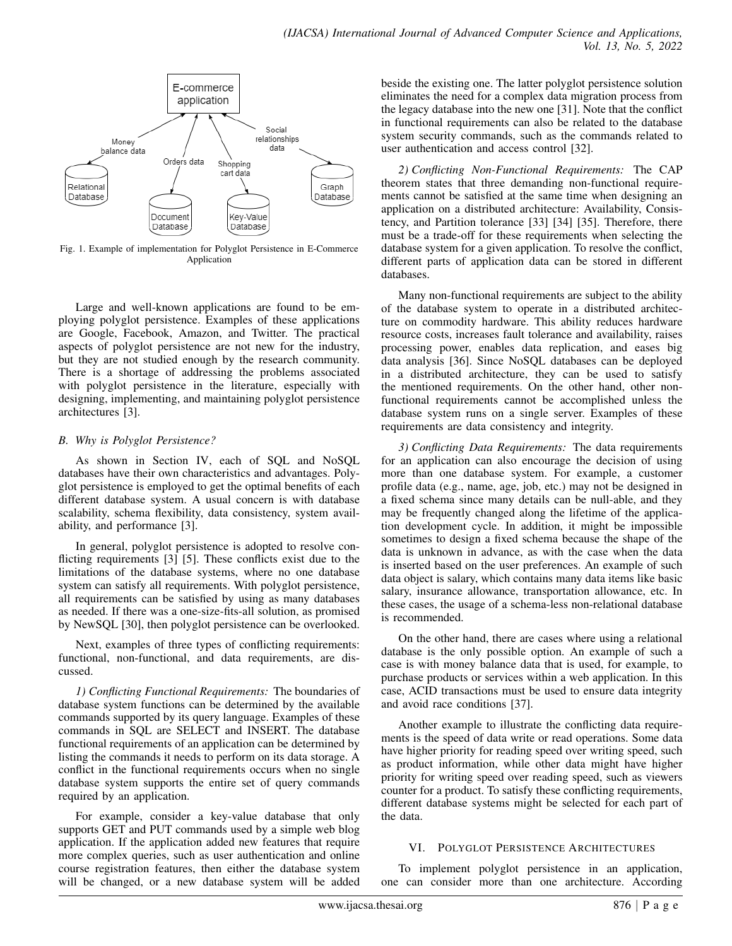

Fig. 1. Example of implementation for Polyglot Persistence in E-Commerce Application

Large and well-known applications are found to be employing polyglot persistence. Examples of these applications are Google, Facebook, Amazon, and Twitter. The practical aspects of polyglot persistence are not new for the industry, but they are not studied enough by the research community. There is a shortage of addressing the problems associated with polyglot persistence in the literature, especially with designing, implementing, and maintaining polyglot persistence architectures [3].

## *B. Why is Polyglot Persistence?*

As shown in Section IV, each of SQL and NoSQL databases have their own characteristics and advantages. Polyglot persistence is employed to get the optimal benefits of each different database system. A usual concern is with database scalability, schema flexibility, data consistency, system availability, and performance [3].

In general, polyglot persistence is adopted to resolve conflicting requirements [3] [5]. These conflicts exist due to the limitations of the database systems, where no one database system can satisfy all requirements. With polyglot persistence, all requirements can be satisfied by using as many databases as needed. If there was a one-size-fits-all solution, as promised by NewSQL [30], then polyglot persistence can be overlooked.

Next, examples of three types of conflicting requirements: functional, non-functional, and data requirements, are discussed.

*1) Conflicting Functional Requirements:* The boundaries of database system functions can be determined by the available commands supported by its query language. Examples of these commands in SQL are SELECT and INSERT. The database functional requirements of an application can be determined by listing the commands it needs to perform on its data storage. A conflict in the functional requirements occurs when no single database system supports the entire set of query commands required by an application.

For example, consider a key-value database that only supports GET and PUT commands used by a simple web blog application. If the application added new features that require more complex queries, such as user authentication and online course registration features, then either the database system will be changed, or a new database system will be added beside the existing one. The latter polyglot persistence solution eliminates the need for a complex data migration process from the legacy database into the new one [31]. Note that the conflict in functional requirements can also be related to the database system security commands, such as the commands related to user authentication and access control [32].

*2) Conflicting Non-Functional Requirements:* The CAP theorem states that three demanding non-functional requirements cannot be satisfied at the same time when designing an application on a distributed architecture: Availability, Consistency, and Partition tolerance [33] [34] [35]. Therefore, there must be a trade-off for these requirements when selecting the database system for a given application. To resolve the conflict, different parts of application data can be stored in different databases.

Many non-functional requirements are subject to the ability of the database system to operate in a distributed architecture on commodity hardware. This ability reduces hardware resource costs, increases fault tolerance and availability, raises processing power, enables data replication, and eases big data analysis [36]. Since NoSQL databases can be deployed in a distributed architecture, they can be used to satisfy the mentioned requirements. On the other hand, other nonfunctional requirements cannot be accomplished unless the database system runs on a single server. Examples of these requirements are data consistency and integrity.

*3) Conflicting Data Requirements:* The data requirements for an application can also encourage the decision of using more than one database system. For example, a customer profile data (e.g., name, age, job, etc.) may not be designed in a fixed schema since many details can be null-able, and they may be frequently changed along the lifetime of the application development cycle. In addition, it might be impossible sometimes to design a fixed schema because the shape of the data is unknown in advance, as with the case when the data is inserted based on the user preferences. An example of such data object is salary, which contains many data items like basic salary, insurance allowance, transportation allowance, etc. In these cases, the usage of a schema-less non-relational database is recommended.

On the other hand, there are cases where using a relational database is the only possible option. An example of such a case is with money balance data that is used, for example, to purchase products or services within a web application. In this case, ACID transactions must be used to ensure data integrity and avoid race conditions [37].

Another example to illustrate the conflicting data requirements is the speed of data write or read operations. Some data have higher priority for reading speed over writing speed, such as product information, while other data might have higher priority for writing speed over reading speed, such as viewers counter for a product. To satisfy these conflicting requirements, different database systems might be selected for each part of the data.

## VI. POLYGLOT PERSISTENCE ARCHITECTURES

To implement polyglot persistence in an application, one can consider more than one architecture. According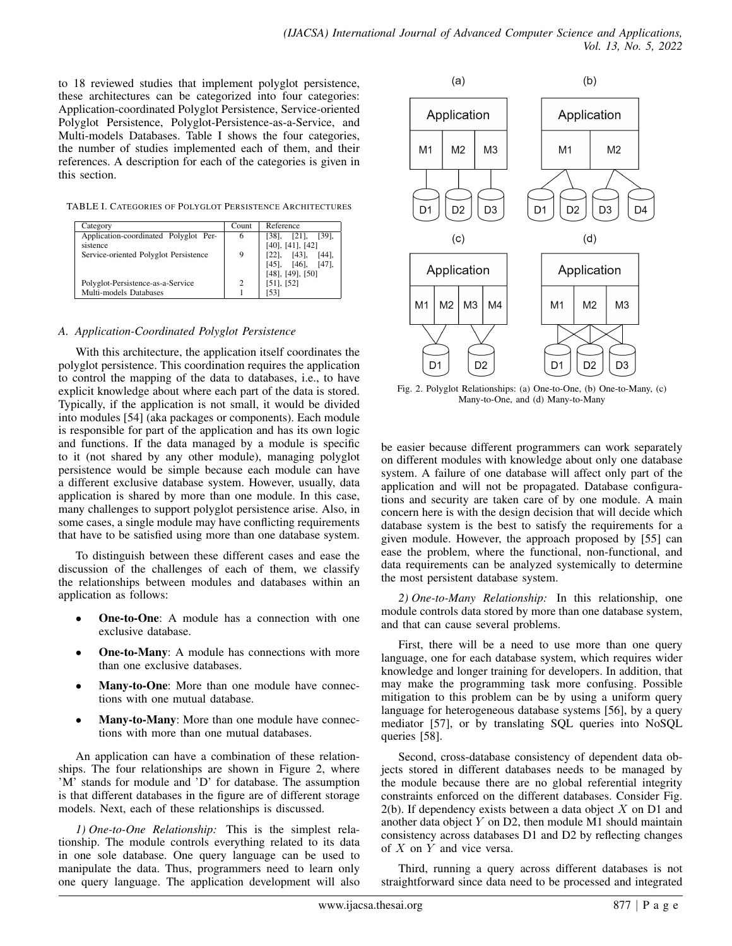to 18 reviewed studies that implement polyglot persistence, these architectures can be categorized into four categories: Application-coordinated Polyglot Persistence, Service-oriented Polyglot Persistence, Polyglot-Persistence-as-a-Service, and Multi-models Databases. Table I shows the four categories, the number of studies implemented each of them, and their references. A description for each of the categories is given in this section.

TABLE I. CATEGORIES OF POLYGLOT PERSISTENCE ARCHITECTURES

| Category                              | Count | Reference                     |  |  |
|---------------------------------------|-------|-------------------------------|--|--|
| Application-coordinated Polyglot Per- | 6     | $[38]$ , $[21]$ , $[39]$ ,    |  |  |
| sistence                              |       | $[40]$ , $[41]$ , $[42]$      |  |  |
| Service-oriented Polyglot Persistence | 9     | $[22]$ , $[43]$ ,<br>$[44]$ , |  |  |
|                                       |       | $[45]$ , $[46]$ , $[47]$ ,    |  |  |
|                                       |       | $[48]$ , $[49]$ , $[50]$      |  |  |
| Polyglot-Persistence-as-a-Service     | 2     | $[51]$ , $[52]$               |  |  |
| Multi-models Databases                |       | [53]                          |  |  |

## *A. Application-Coordinated Polyglot Persistence*

With this architecture, the application itself coordinates the polyglot persistence. This coordination requires the application to control the mapping of the data to databases, i.e., to have explicit knowledge about where each part of the data is stored. Typically, if the application is not small, it would be divided into modules [54] (aka packages or components). Each module is responsible for part of the application and has its own logic and functions. If the data managed by a module is specific to it (not shared by any other module), managing polyglot persistence would be simple because each module can have a different exclusive database system. However, usually, data application is shared by more than one module. In this case, many challenges to support polyglot persistence arise. Also, in some cases, a single module may have conflicting requirements that have to be satisfied using more than one database system.

To distinguish between these different cases and ease the discussion of the challenges of each of them, we classify the relationships between modules and databases within an application as follows:

- **One-to-One**: A module has a connection with one exclusive database.
- **One-to-Many:** A module has connections with more than one exclusive databases.
- Many-to-One: More than one module have connections with one mutual database.
- Many-to-Many: More than one module have connections with more than one mutual databases.

An application can have a combination of these relationships. The four relationships are shown in Figure 2, where 'M' stands for module and 'D' for database. The assumption is that different databases in the figure are of different storage models. Next, each of these relationships is discussed.

*1) One-to-One Relationship:* This is the simplest relationship. The module controls everything related to its data in one sole database. One query language can be used to manipulate the data. Thus, programmers need to learn only one query language. The application development will also



Fig. 2. Polyglot Relationships: (a) One-to-One, (b) One-to-Many, (c) Many-to-One, and (d) Many-to-Many

be easier because different programmers can work separately on different modules with knowledge about only one database system. A failure of one database will affect only part of the application and will not be propagated. Database configurations and security are taken care of by one module. A main concern here is with the design decision that will decide which database system is the best to satisfy the requirements for a given module. However, the approach proposed by [55] can ease the problem, where the functional, non-functional, and data requirements can be analyzed systemically to determine the most persistent database system.

*2) One-to-Many Relationship:* In this relationship, one module controls data stored by more than one database system, and that can cause several problems.

First, there will be a need to use more than one query language, one for each database system, which requires wider knowledge and longer training for developers. In addition, that may make the programming task more confusing. Possible mitigation to this problem can be by using a uniform query language for heterogeneous database systems [56], by a query mediator [57], or by translating SQL queries into NoSQL queries [58].

Second, cross-database consistency of dependent data objects stored in different databases needs to be managed by the module because there are no global referential integrity constraints enforced on the different databases. Consider Fig.  $2(b)$ . If dependency exists between a data object X on D1 and another data object  $Y$  on D2, then module M1 should maintain consistency across databases D1 and D2 by reflecting changes of  $X$  on  $Y$  and vice versa.

Third, running a query across different databases is not straightforward since data need to be processed and integrated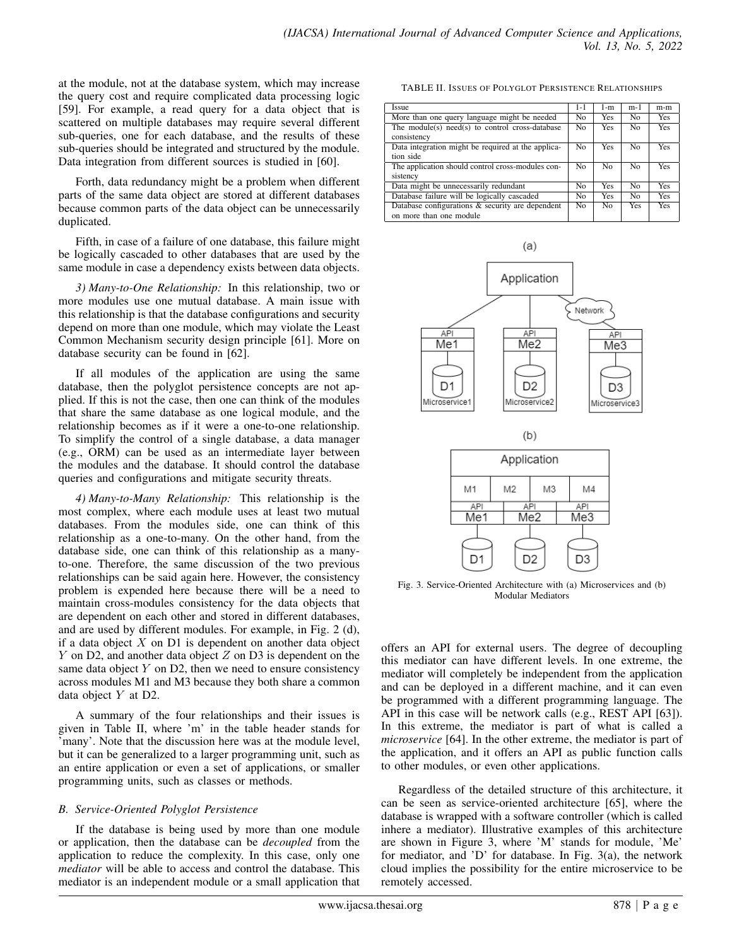at the module, not at the database system, which may increase the query cost and require complicated data processing logic [59]. For example, a read query for a data object that is scattered on multiple databases may require several different sub-queries, one for each database, and the results of these sub-queries should be integrated and structured by the module. Data integration from different sources is studied in [60].

Forth, data redundancy might be a problem when different parts of the same data object are stored at different databases because common parts of the data object can be unnecessarily duplicated.

Fifth, in case of a failure of one database, this failure might be logically cascaded to other databases that are used by the same module in case a dependency exists between data objects.

*3) Many-to-One Relationship:* In this relationship, two or more modules use one mutual database. A main issue with this relationship is that the database configurations and security depend on more than one module, which may violate the Least Common Mechanism security design principle [61]. More on database security can be found in [62].

If all modules of the application are using the same database, then the polyglot persistence concepts are not applied. If this is not the case, then one can think of the modules that share the same database as one logical module, and the relationship becomes as if it were a one-to-one relationship. To simplify the control of a single database, a data manager (e.g., ORM) can be used as an intermediate layer between the modules and the database. It should control the database queries and configurations and mitigate security threats.

*4) Many-to-Many Relationship:* This relationship is the most complex, where each module uses at least two mutual databases. From the modules side, one can think of this relationship as a one-to-many. On the other hand, from the database side, one can think of this relationship as a manyto-one. Therefore, the same discussion of the two previous relationships can be said again here. However, the consistency problem is expended here because there will be a need to maintain cross-modules consistency for the data objects that are dependent on each other and stored in different databases, and are used by different modules. For example, in Fig. 2 (d), if a data object  $X$  on D1 is dependent on another data object  $Y$  on D2, and another data object  $Z$  on D3 is dependent on the same data object  $Y$  on  $D2$ , then we need to ensure consistency across modules M1 and M3 because they both share a common data object Y at D2.

A summary of the four relationships and their issues is given in Table II, where 'm' in the table header stands for 'many'. Note that the discussion here was at the module level, but it can be generalized to a larger programming unit, such as an entire application or even a set of applications, or smaller programming units, such as classes or methods.

## *B. Service-Oriented Polyglot Persistence*

If the database is being used by more than one module or application, then the database can be *decoupled* from the application to reduce the complexity. In this case, only one *mediator* will be able to access and control the database. This mediator is an independent module or a small application that

TABLE II. ISSUES OF POLYGLOT PERSISTENCE RELATIONSHIPS

| <b>Issue</b>                                       | $1 - 1$        | 1-m            | m-1            | m-m        |
|----------------------------------------------------|----------------|----------------|----------------|------------|
| More than one query language might be needed       | N <sub>0</sub> | <b>Yes</b>     | N <sub>0</sub> | <b>Yes</b> |
| The module(s) need(s) to control cross-database    | N <sub>0</sub> | <b>Yes</b>     | N <sub>0</sub> | <b>Yes</b> |
| consistency                                        |                |                |                |            |
| Data integration might be required at the applica- | N <sub>0</sub> | Yes            | N <sub>0</sub> | <b>Yes</b> |
| tion side                                          |                |                |                |            |
| The application should control cross-modules con-  | N <sub>0</sub> | N <sub>0</sub> | N <sub>0</sub> | <b>Yes</b> |
| sistency                                           |                |                |                |            |
| Data might be unnecessarily redundant              | N <sub>0</sub> | Yes            | N <sub>0</sub> | <b>Yes</b> |
| Database failure will be logically cascaded        | N <sub>0</sub> | Yes            | N <sub>0</sub> | <b>Yes</b> |
| Database configurations & security are dependent   | N <sub>0</sub> | N <sub>0</sub> | Yes            | <b>Yes</b> |
| on more than one module                            |                |                |                |            |



Fig. 3. Service-Oriented Architecture with (a) Microservices and (b) Modular Mediators

offers an API for external users. The degree of decoupling this mediator can have different levels. In one extreme, the mediator will completely be independent from the application and can be deployed in a different machine, and it can even be programmed with a different programming language. The API in this case will be network calls (e.g., REST API [63]). In this extreme, the mediator is part of what is called a *microservice* [64]. In the other extreme, the mediator is part of the application, and it offers an API as public function calls to other modules, or even other applications.

Regardless of the detailed structure of this architecture, it can be seen as service-oriented architecture [65], where the database is wrapped with a software controller (which is called inhere a mediator). Illustrative examples of this architecture are shown in Figure 3, where 'M' stands for module, 'Me' for mediator, and 'D' for database. In Fig. 3(a), the network cloud implies the possibility for the entire microservice to be remotely accessed.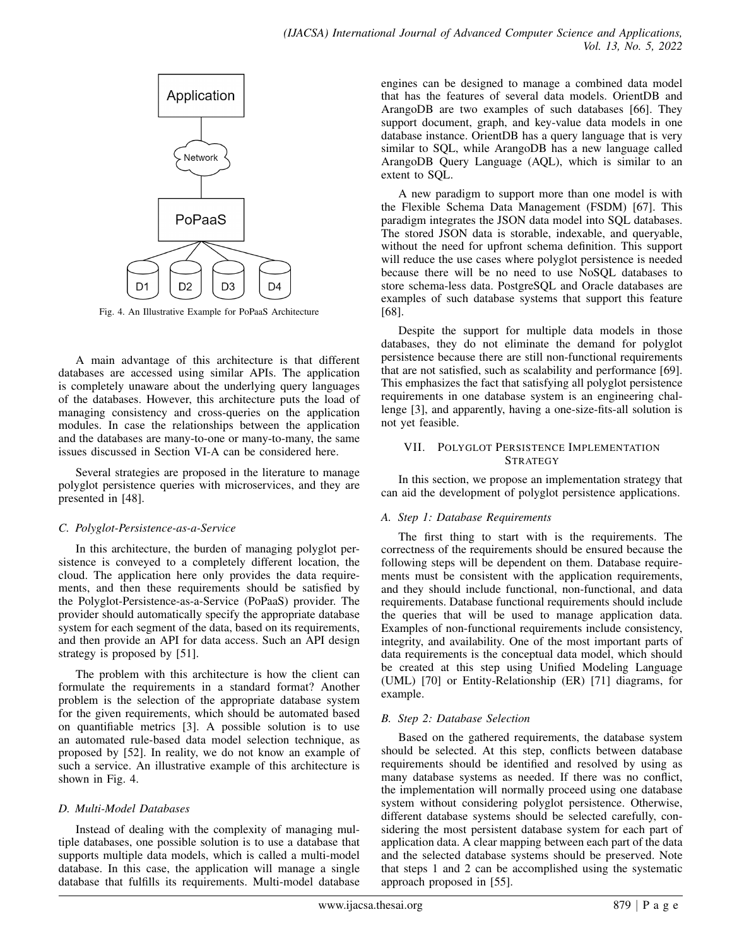

Fig. 4. An Illustrative Example for PoPaaS Architecture

A main advantage of this architecture is that different databases are accessed using similar APIs. The application is completely unaware about the underlying query languages of the databases. However, this architecture puts the load of managing consistency and cross-queries on the application modules. In case the relationships between the application and the databases are many-to-one or many-to-many, the same issues discussed in Section VI-A can be considered here.

Several strategies are proposed in the literature to manage polyglot persistence queries with microservices, and they are presented in [48].

#### *C. Polyglot-Persistence-as-a-Service*

In this architecture, the burden of managing polyglot persistence is conveyed to a completely different location, the cloud. The application here only provides the data requirements, and then these requirements should be satisfied by the Polyglot-Persistence-as-a-Service (PoPaaS) provider. The provider should automatically specify the appropriate database system for each segment of the data, based on its requirements, and then provide an API for data access. Such an API design strategy is proposed by [51].

The problem with this architecture is how the client can formulate the requirements in a standard format? Another problem is the selection of the appropriate database system for the given requirements, which should be automated based on quantifiable metrics [3]. A possible solution is to use an automated rule-based data model selection technique, as proposed by [52]. In reality, we do not know an example of such a service. An illustrative example of this architecture is shown in Fig. 4.

## *D. Multi-Model Databases*

Instead of dealing with the complexity of managing multiple databases, one possible solution is to use a database that supports multiple data models, which is called a multi-model database. In this case, the application will manage a single database that fulfills its requirements. Multi-model database

engines can be designed to manage a combined data model that has the features of several data models. OrientDB and ArangoDB are two examples of such databases [66]. They support document, graph, and key-value data models in one database instance. OrientDB has a query language that is very similar to SQL, while ArangoDB has a new language called ArangoDB Query Language (AQL), which is similar to an extent to SQL.

A new paradigm to support more than one model is with the Flexible Schema Data Management (FSDM) [67]. This paradigm integrates the JSON data model into SQL databases. The stored JSON data is storable, indexable, and queryable, without the need for upfront schema definition. This support will reduce the use cases where polyglot persistence is needed because there will be no need to use NoSQL databases to store schema-less data. PostgreSQL and Oracle databases are examples of such database systems that support this feature [68].

Despite the support for multiple data models in those databases, they do not eliminate the demand for polyglot persistence because there are still non-functional requirements that are not satisfied, such as scalability and performance [69]. This emphasizes the fact that satisfying all polyglot persistence requirements in one database system is an engineering challenge [3], and apparently, having a one-size-fits-all solution is not yet feasible.

#### VII. POLYGLOT PERSISTENCE IMPLEMENTATION **STRATEGY**

In this section, we propose an implementation strategy that can aid the development of polyglot persistence applications.

## *A. Step 1: Database Requirements*

The first thing to start with is the requirements. The correctness of the requirements should be ensured because the following steps will be dependent on them. Database requirements must be consistent with the application requirements, and they should include functional, non-functional, and data requirements. Database functional requirements should include the queries that will be used to manage application data. Examples of non-functional requirements include consistency, integrity, and availability. One of the most important parts of data requirements is the conceptual data model, which should be created at this step using Unified Modeling Language (UML) [70] or Entity-Relationship (ER) [71] diagrams, for example.

## *B. Step 2: Database Selection*

Based on the gathered requirements, the database system should be selected. At this step, conflicts between database requirements should be identified and resolved by using as many database systems as needed. If there was no conflict, the implementation will normally proceed using one database system without considering polyglot persistence. Otherwise, different database systems should be selected carefully, considering the most persistent database system for each part of application data. A clear mapping between each part of the data and the selected database systems should be preserved. Note that steps 1 and 2 can be accomplished using the systematic approach proposed in [55].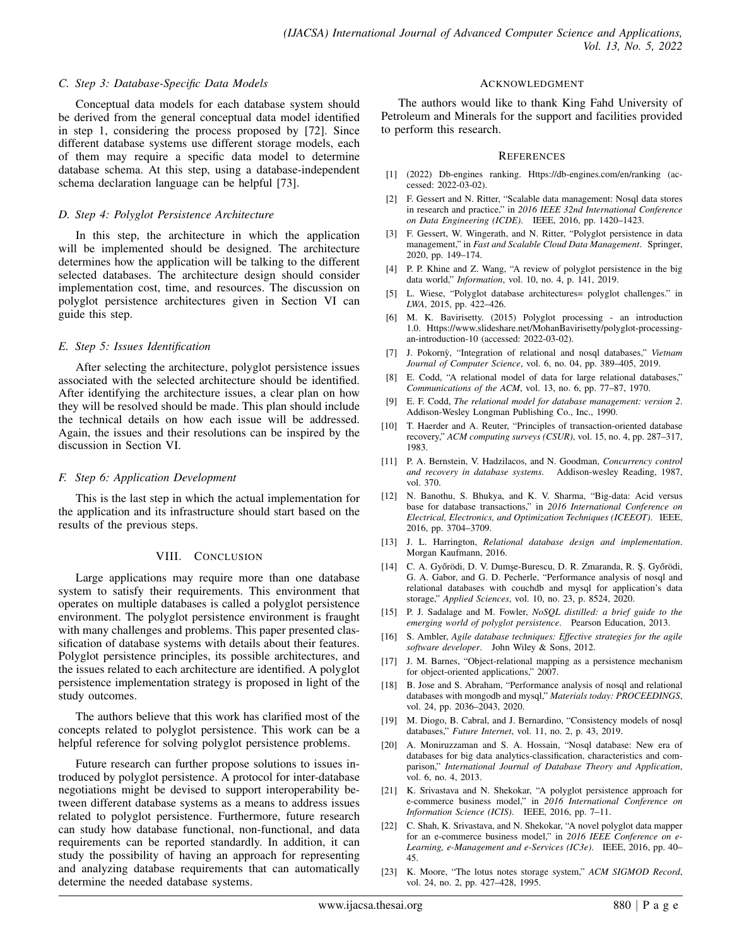#### *C. Step 3: Database-Specific Data Models*

Conceptual data models for each database system should be derived from the general conceptual data model identified in step 1, considering the process proposed by [72]. Since different database systems use different storage models, each of them may require a specific data model to determine database schema. At this step, using a database-independent schema declaration language can be helpful [73].

#### *D. Step 4: Polyglot Persistence Architecture*

In this step, the architecture in which the application will be implemented should be designed. The architecture determines how the application will be talking to the different selected databases. The architecture design should consider implementation cost, time, and resources. The discussion on polyglot persistence architectures given in Section VI can guide this step.

#### *E. Step 5: Issues Identification*

After selecting the architecture, polyglot persistence issues associated with the selected architecture should be identified. After identifying the architecture issues, a clear plan on how they will be resolved should be made. This plan should include the technical details on how each issue will be addressed. Again, the issues and their resolutions can be inspired by the discussion in Section VI.

#### *F. Step 6: Application Development*

This is the last step in which the actual implementation for the application and its infrastructure should start based on the results of the previous steps.

#### VIII. CONCLUSION

Large applications may require more than one database system to satisfy their requirements. This environment that operates on multiple databases is called a polyglot persistence environment. The polyglot persistence environment is fraught with many challenges and problems. This paper presented classification of database systems with details about their features. Polyglot persistence principles, its possible architectures, and the issues related to each architecture are identified. A polyglot persistence implementation strategy is proposed in light of the study outcomes.

The authors believe that this work has clarified most of the concepts related to polyglot persistence. This work can be a helpful reference for solving polyglot persistence problems.

Future research can further propose solutions to issues introduced by polyglot persistence. A protocol for inter-database negotiations might be devised to support interoperability between different database systems as a means to address issues related to polyglot persistence. Furthermore, future research can study how database functional, non-functional, and data requirements can be reported standardly. In addition, it can study the possibility of having an approach for representing and analyzing database requirements that can automatically determine the needed database systems.

#### ACKNOWLEDGMENT

The authors would like to thank King Fahd University of Petroleum and Minerals for the support and facilities provided to perform this research.

#### **REFERENCES**

- [1] (2022) Db-engines ranking. Https://db-engines.com/en/ranking (accessed: 2022-03-02).
- [2] F. Gessert and N. Ritter, "Scalable data management: Nosql data stores in research and practice," in *2016 IEEE 32nd International Conference on Data Engineering (ICDE)*. IEEE, 2016, pp. 1420–1423.
- [3] F. Gessert, W. Wingerath, and N. Ritter, "Polyglot persistence in data management," in *Fast and Scalable Cloud Data Management*. Springer, 2020, pp. 149–174.
- [4] P. P. Khine and Z. Wang, "A review of polyglot persistence in the big data world," *Information*, vol. 10, no. 4, p. 141, 2019.
- [5] L. Wiese, "Polyglot database architectures= polyglot challenges." in *LWA*, 2015, pp. 422–426.
- [6] M. K. Bavirisetty. (2015) Polyglot processing an introduction 1.0. Https://www.slideshare.net/MohanBavirisetty/polyglot-processingan-introduction-10 (accessed: 2022-03-02).
- [7] J. Pokornỳ, "Integration of relational and nosql databases," Vietnam *Journal of Computer Science*, vol. 6, no. 04, pp. 389–405, 2019.
- [8] E. Codd, "A relational model of data for large relational databases," *Communications of the ACM*, vol. 13, no. 6, pp. 77–87, 1970.
- [9] E. F. Codd, *The relational model for database management: version 2*. Addison-Wesley Longman Publishing Co., Inc., 1990.
- [10] T. Haerder and A. Reuter, "Principles of transaction-oriented database recovery," *ACM computing surveys (CSUR)*, vol. 15, no. 4, pp. 287–317, 1983.
- [11] P. A. Bernstein, V. Hadzilacos, and N. Goodman, *Concurrency control and recovery in database systems*. Addison-wesley Reading, 1987, vol. 370.
- [12] N. Banothu, S. Bhukya, and K. V. Sharma, "Big-data: Acid versus base for database transactions," in *2016 International Conference on Electrical, Electronics, and Optimization Techniques (ICEEOT)*. IEEE, 2016, pp. 3704–3709.
- [13] J. L. Harrington, *Relational database design and implementation*. Morgan Kaufmann, 2016.
- [14] C. A. Győrödi, D. V. Dumşe-Burescu, D. R. Zmaranda, R. Ş. Győrödi, G. A. Gabor, and G. D. Pecherle, "Performance analysis of nosql and relational databases with couchdb and mysql for application's data storage," *Applied Sciences*, vol. 10, no. 23, p. 8524, 2020.
- [15] P. J. Sadalage and M. Fowler, *NoSQL distilled: a brief guide to the emerging world of polyglot persistence*. Pearson Education, 2013.
- [16] S. Ambler, *Agile database techniques: Effective strategies for the agile software developer*. John Wiley & Sons, 2012.
- [17] J. M. Barnes, "Object-relational mapping as a persistence mechanism for object-oriented applications," 2007.
- [18] B. Jose and S. Abraham, "Performance analysis of nosql and relational databases with mongodb and mysql," *Materials today: PROCEEDINGS*, vol. 24, pp. 2036–2043, 2020.
- [19] M. Diogo, B. Cabral, and J. Bernardino, "Consistency models of nosql databases," *Future Internet*, vol. 11, no. 2, p. 43, 2019.
- [20] A. Moniruzzaman and S. A. Hossain, "Nosql database: New era of databases for big data analytics-classification, characteristics and comparison," *International Journal of Database Theory and Application*, vol. 6, no. 4, 2013.
- [21] K. Srivastava and N. Shekokar, "A polyglot persistence approach for e-commerce business model," in *2016 International Conference on Information Science (ICIS)*. IEEE, 2016, pp. 7–11.
- [22] C. Shah, K. Srivastava, and N. Shekokar, "A novel polyglot data mapper for an e-commerce business model," in *2016 IEEE Conference on e-Learning, e-Management and e-Services (IC3e)*. IEEE, 2016, pp. 40– 45.
- [23] K. Moore, "The lotus notes storage system," *ACM SIGMOD Record*, vol. 24, no. 2, pp. 427–428, 1995.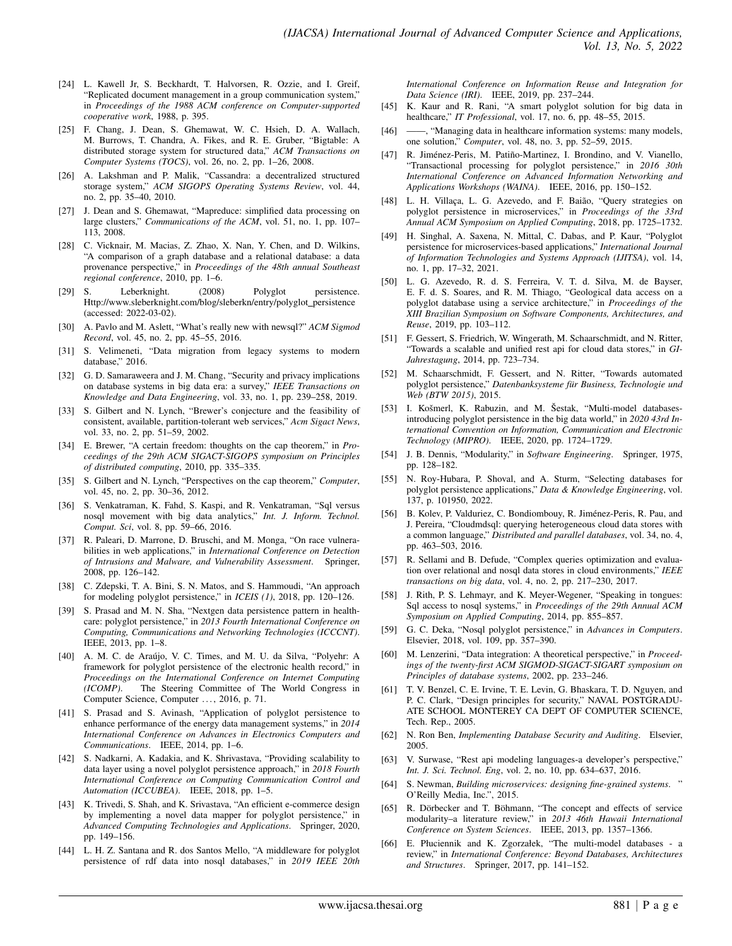- [24] L. Kawell Jr, S. Beckhardt, T. Halvorsen, R. Ozzie, and I. Greif, "Replicated document management in a group communication system," in *Proceedings of the 1988 ACM conference on Computer-supported cooperative work*, 1988, p. 395.
- [25] F. Chang, J. Dean, S. Ghemawat, W. C. Hsieh, D. A. Wallach, M. Burrows, T. Chandra, A. Fikes, and R. E. Gruber, "Bigtable: A distributed storage system for structured data," *ACM Transactions on Computer Systems (TOCS)*, vol. 26, no. 2, pp. 1–26, 2008.
- [26] A. Lakshman and P. Malik, "Cassandra: a decentralized structured storage system," *ACM SIGOPS Operating Systems Review*, vol. 44, no. 2, pp. 35–40, 2010.
- [27] J. Dean and S. Ghemawat, "Mapreduce: simplified data processing on large clusters," *Communications of the ACM*, vol. 51, no. 1, pp. 107– 113, 2008.
- [28] C. Vicknair, M. Macias, Z. Zhao, X. Nan, Y. Chen, and D. Wilkins, "A comparison of a graph database and a relational database: a data provenance perspective," in *Proceedings of the 48th annual Southeast regional conference*, 2010, pp. 1–6.
- [29] S. Leberknight. (2008) Polyglot persistence. Http://www.sleberknight.com/blog/sleberkn/entry/polyglot\_persistence (accessed: 2022-03-02).
- [30] A. Pavlo and M. Aslett, "What's really new with newsql?" *ACM Sigmod Record*, vol. 45, no. 2, pp. 45–55, 2016.
- [31] S. Velimeneti, "Data migration from legacy systems to modern database," 2016.
- [32] G. D. Samaraweera and J. M. Chang, "Security and privacy implications on database systems in big data era: a survey," *IEEE Transactions on Knowledge and Data Engineering*, vol. 33, no. 1, pp. 239–258, 2019.
- [33] S. Gilbert and N. Lynch, "Brewer's conjecture and the feasibility of consistent, available, partition-tolerant web services," *Acm Sigact News*, vol. 33, no. 2, pp. 51–59, 2002.
- [34] E. Brewer, "A certain freedom: thoughts on the cap theorem," in *Proceedings of the 29th ACM SIGACT-SIGOPS symposium on Principles of distributed computing*, 2010, pp. 335–335.
- [35] S. Gilbert and N. Lynch, "Perspectives on the cap theorem," *Computer*, vol. 45, no. 2, pp. 30–36, 2012.
- [36] S. Venkatraman, K. Fahd, S. Kaspi, and R. Venkatraman, "Sql versus nosql movement with big data analytics," *Int. J. Inform. Technol. Comput. Sci*, vol. 8, pp. 59–66, 2016.
- [37] R. Paleari, D. Marrone, D. Bruschi, and M. Monga, "On race vulnerabilities in web applications," in *International Conference on Detection of Intrusions and Malware, and Vulnerability Assessment*. Springer, 2008, pp. 126–142.
- [38] C. Zdepski, T. A. Bini, S. N. Matos, and S. Hammoudi, "An approach for modeling polyglot persistence," in *ICEIS (1)*, 2018, pp. 120–126.
- [39] S. Prasad and M. N. Sha, "Nextgen data persistence pattern in healthcare: polyglot persistence," in *2013 Fourth International Conference on Computing, Communications and Networking Technologies (ICCCNT)*. IEEE, 2013, pp. 1–8.
- [40] A. M. C. de Araújo, V. C. Times, and M. U. da Silva, "Polyehr: A framework for polyglot persistence of the electronic health record," in *Proceedings on the International Conference on Internet Computing (ICOMP)*. The Steering Committee of The World Congress in Computer Science, Computer ..., 2016, p. 71.
- [41] S. Prasad and S. Avinash, "Application of polyglot persistence to enhance performance of the energy data management systems," in *2014 International Conference on Advances in Electronics Computers and Communications*. IEEE, 2014, pp. 1–6.
- [42] S. Nadkarni, A. Kadakia, and K. Shrivastava, "Providing scalability to data layer using a novel polyglot persistence approach," in *2018 Fourth International Conference on Computing Communication Control and Automation (ICCUBEA)*. IEEE, 2018, pp. 1–5.
- [43] K. Trivedi, S. Shah, and K. Srivastava, "An efficient e-commerce design by implementing a novel data mapper for polyglot persistence," in *Advanced Computing Technologies and Applications*. Springer, 2020, pp. 149–156.
- [44] L. H. Z. Santana and R. dos Santos Mello, "A middleware for polyglot persistence of rdf data into nosql databases," in *2019 IEEE 20th*

*International Conference on Information Reuse and Integration for Data Science (IRI)*. IEEE, 2019, pp. 237–244.

- [45] K. Kaur and R. Rani, "A smart polyglot solution for big data in healthcare," *IT Professional*, vol. 17, no. 6, pp. 48–55, 2015.
- [46] ——, "Managing data in healthcare information systems: many models, one solution," *Computer*, vol. 48, no. 3, pp. 52–59, 2015.
- [47] R. Jiménez-Peris, M. Patiño-Martinez, I. Brondino, and V. Vianello, "Transactional processing for polyglot persistence," in *2016 30th International Conference on Advanced Information Networking and Applications Workshops (WAINA)*. IEEE, 2016, pp. 150–152.
- [48] L. H. Villaça, L. G. Azevedo, and F. Baião, "Query strategies on polyglot persistence in microservices," in *Proceedings of the 33rd Annual ACM Symposium on Applied Computing*, 2018, pp. 1725–1732.
- [49] H. Singhal, A. Saxena, N. Mittal, C. Dabas, and P. Kaur, "Polyglot persistence for microservices-based applications," *International Journal of Information Technologies and Systems Approach (IJITSA)*, vol. 14, no. 1, pp. 17–32, 2021.
- [50] L. G. Azevedo, R. d. S. Ferreira, V. T. d. Silva, M. de Bayser, E. F. d. S. Soares, and R. M. Thiago, "Geological data access on a polyglot database using a service architecture," in *Proceedings of the XIII Brazilian Symposium on Software Components, Architectures, and Reuse*, 2019, pp. 103–112.
- [51] F. Gessert, S. Friedrich, W. Wingerath, M. Schaarschmidt, and N. Ritter, "Towards a scalable and unified rest api for cloud data stores," in *GI-Jahrestagung*, 2014, pp. 723–734.
- [52] M. Schaarschmidt, F. Gessert, and N. Ritter, "Towards automated polyglot persistence," *Datenbanksysteme für Business, Technologie und Web (BTW 2015)*, 2015.
- [53] I. Košmerl, K. Rabuzin, and M. Šestak, "Multi-model databasesintroducing polyglot persistence in the big data world," in *2020 43rd International Convention on Information, Communication and Electronic Technology (MIPRO)*. IEEE, 2020, pp. 1724–1729.
- [54] J. B. Dennis, "Modularity," in *Software Engineering*. Springer, 1975, pp. 128–182.
- [55] N. Roy-Hubara, P. Shoval, and A. Sturm, "Selecting databases for polyglot persistence applications," *Data & Knowledge Engineering*, vol. 137, p. 101950, 2022.
- [56] B. Kolev, P. Valduriez, C. Bondiombouy, R. Jiménez-Peris, R. Pau, and J. Pereira, "Cloudmdsql: querying heterogeneous cloud data stores with a common language," *Distributed and parallel databases*, vol. 34, no. 4, pp. 463–503, 2016.
- [57] R. Sellami and B. Defude, "Complex queries optimization and evaluation over relational and nosql data stores in cloud environments," *IEEE transactions on big data*, vol. 4, no. 2, pp. 217–230, 2017.
- [58] J. Rith, P. S. Lehmayr, and K. Meyer-Wegener, "Speaking in tongues: Sql access to nosql systems," in *Proceedings of the 29th Annual ACM Symposium on Applied Computing*, 2014, pp. 855–857.
- [59] G. C. Deka, "Nosql polyglot persistence," in *Advances in Computers*. Elsevier, 2018, vol. 109, pp. 357–390.
- [60] M. Lenzerini, "Data integration: A theoretical perspective," in *Proceedings of the twenty-first ACM SIGMOD-SIGACT-SIGART symposium on Principles of database systems*, 2002, pp. 233–246.
- [61] T. V. Benzel, C. E. Irvine, T. E. Levin, G. Bhaskara, T. D. Nguyen, and P. C. Clark, "Design principles for security," NAVAL POSTGRADU-ATE SCHOOL MONTEREY CA DEPT OF COMPUTER SCIENCE, Tech. Rep., 2005.
- [62] N. Ron Ben, *Implementing Database Security and Auditing*. Elsevier, 2005.
- [63] V. Surwase, "Rest api modeling languages-a developer's perspective," *Int. J. Sci. Technol. Eng*, vol. 2, no. 10, pp. 634–637, 2016.
- [64] S. Newman, *Building microservices: designing fine-grained systems*. " O'Reilly Media, Inc.", 2015.
- [65] R. Dörbecker and T. Böhmann, "The concept and effects of service modularity–a literature review," in *2013 46th Hawaii International Conference on System Sciences*. IEEE, 2013, pp. 1357–1366.
- [66] E. Płuciennik and K. Zgorzałek, "The multi-model databases a review," in *International Conference: Beyond Databases, Architectures and Structures*. Springer, 2017, pp. 141–152.